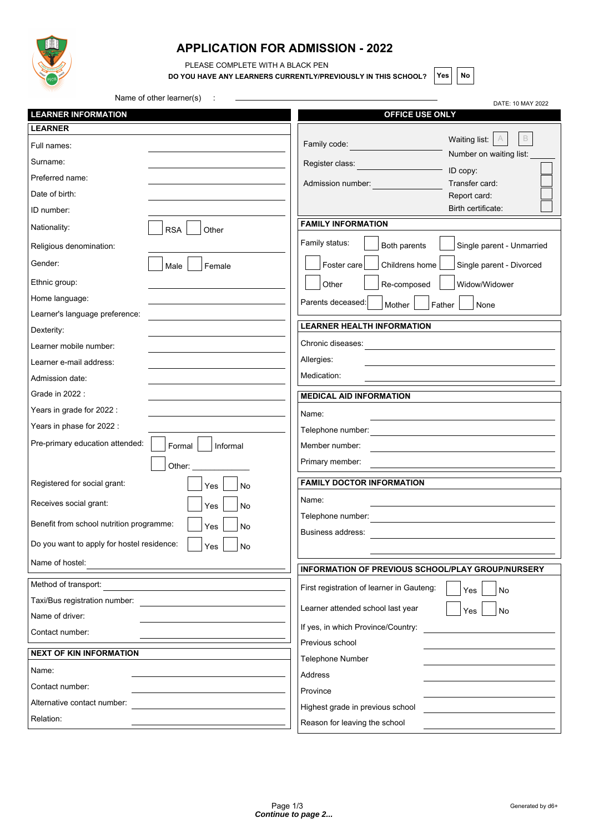

## **APPLICATION FOR ADMISSION - 2022**

PLEASE COMPLETE WITH A BLACK PEN

**DO YOU HAVE ANY LEARNERS CURRENTLY/PREVIOUSLY IN THIS SCHOOL?** Yes | No

Name of other learner(s) : DATE: 10 MAY 2022 **LEARNER INFORMATION LEARNER** Full names: Surname: Preferred name: Date of birth: ID number: Nationality: RSA Other Religious denomination: Gender: Male Remale Ethnic group: Home language: Learner's language preference: Dexterity: Learner mobile number: Learner e-mail address: Admission date: Grade in 2022 : Years in grade for 2022 : Years in phase for 2022 : Pre-primary education attended: Formal Informal Other: \_\_\_\_\_\_\_\_\_\_\_\_\_ Registered for social grant:  $\left|\begin{array}{c} | \\ | \gamma_{\text{es}} \end{array}\right| \left|\begin{array}{c} | \\ | \gamma_{\text{es}} \end{array}\right|$ Receives social grant:  $\left|\right|_{\text{Yes}}\left|\right|_{\text{No}}$ Benefit from school nutrition programme:  $\begin{array}{c|c} | & \gamma_{\text{es}} \end{array}$   $\begin{array}{c} | \text{No} \end{array}$ Do you want to apply for hostel residence:  $\vert \vert_{\text{Yes}} \vert \vert_{\text{No}}$ Name of hostel: Method of transport: Taxi/Bus registration number: Name of driver: Contact number: **NEXT OF KIN INFORMATION** Name: Contact number: Alternative contact number: Relation:  **OFFICE USE ONLY** Family code: Register class: Admission number: Waiting list:  $\boxed{A}$   $\boxed{B}$ Number on waiting list:  $=$  ID copy: Transfer card: Report card: Birth certificate: **FAMILY INFORMATION** Family status: **Both parents** Single parent - Unmarried  $|\text{Foster care}|$   $|\text{Childrens home}|$   $|\text{Sina}$  parent - Divorced Other | Re-composed | Widow/Widower Parents deceased: Mother Father None **LEARNER HEALTH INFORMATION** Chronic diseases: Allergies: Medication: **MEDICAL AID INFORMATION** Name: Telephone number: Member number: Primary member: **FAMILY DOCTOR INFORMATION** Name: Telephone number: Business address: **INFORMATION OF PREVIOUS SCHOOL/PLAY GROUP/NURSERY** First registration of learner in Gauteng:  $\begin{array}{c|c} \hline \end{array}$   $\begin{array}{c} \hline \end{array}$   $\begin{array}{c} \hline \end{array}$  No Learner attended school last year  $\vert \vert_{\text{Yes}} \vert \vert_{\text{No}}$ If yes, in which Province/Country: Previous school Telephone Number Address Province Highest grade in previous school Reason for leaving the school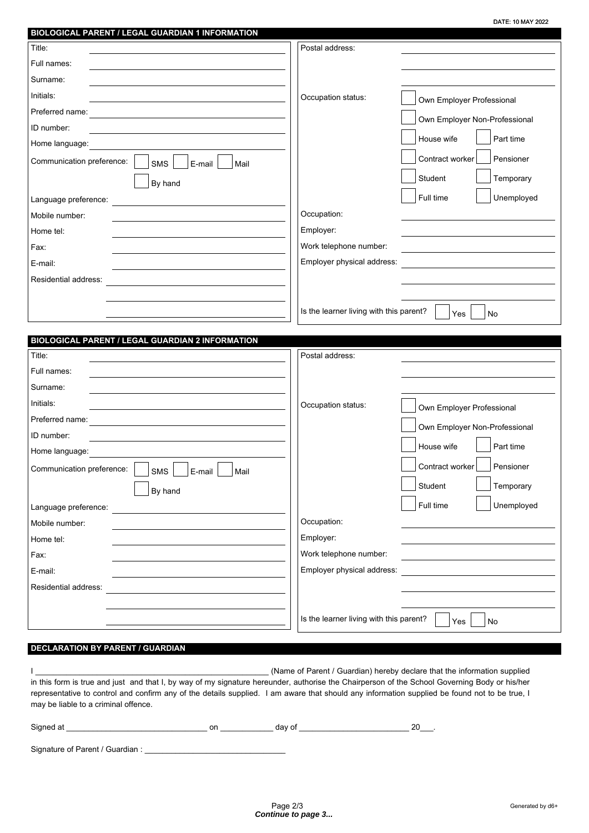| BIOLOGICAL PARENT / LEGAL GUARDIAN 1 INFORMATION                                                                        |                                                      |
|-------------------------------------------------------------------------------------------------------------------------|------------------------------------------------------|
| Title:                                                                                                                  | Postal address:                                      |
| Full names:                                                                                                             |                                                      |
| Surname:                                                                                                                |                                                      |
| Initials:                                                                                                               | Occupation status:<br>Own Employer Professional      |
| Preferred name:                                                                                                         | Own Employer Non-Professional                        |
| ID number:                                                                                                              |                                                      |
| Home language:                                                                                                          | Part time<br>House wife                              |
| Communication preference:<br>SMS<br>E-mail<br>Mail                                                                      | Contract worker<br>Pensioner                         |
| By hand                                                                                                                 | Student<br>Temporary                                 |
| Language preference:                                                                                                    | Unemployed<br>Full time                              |
| Mobile number:                                                                                                          | Occupation:                                          |
| Home tel:                                                                                                               | Employer:                                            |
| Fax:                                                                                                                    | Work telephone number:                               |
| E-mail:                                                                                                                 | Employer physical address:                           |
| Residential address:                                                                                                    |                                                      |
|                                                                                                                         |                                                      |
|                                                                                                                         | Is the learner living with this parent?<br>Yes<br>No |
|                                                                                                                         |                                                      |
| BIOLOGICAL PARENT / LEGAL GUARDIAN 2 INFORMATION                                                                        |                                                      |
| Title:                                                                                                                  | Postal address:                                      |
| Full names:                                                                                                             |                                                      |
| Surname:                                                                                                                |                                                      |
| Initials:                                                                                                               | Occupation status:<br>Own Employer Professional      |
| Preferred name:<br>the control of the control of the control of the control of the control of the control of            | Own Employer Non-Professional                        |
| ID number:                                                                                                              | House wife<br>Part time                              |
| Home language:                                                                                                          |                                                      |
| $\overline{\phantom{a}}$ SMS $\overline{\phantom{a}}$ E-mail $\overline{\phantom{a}}$ Mail<br>Communication preference: | Pensioner<br>Contract worker                         |
| By hand                                                                                                                 | Student<br>Temporary                                 |
| Language preference:                                                                                                    | Full time<br>Unemployed                              |
| Mobile number:                                                                                                          | Occupation:                                          |
| Home tel:                                                                                                               | Employer:                                            |
| Fax:                                                                                                                    | Work telephone number:                               |
| E-mail:                                                                                                                 | Employer physical address:                           |
| Residential address:                                                                                                    |                                                      |
|                                                                                                                         |                                                      |
|                                                                                                                         | Is the learner living with this parent?<br>No<br>Yes |
|                                                                                                                         |                                                      |

## **DECLARATION BY PARENT / GUARDIAN**

I \_\_\_\_\_\_\_\_\_\_\_\_\_\_\_\_\_\_\_\_\_\_\_\_\_\_\_\_\_\_\_\_\_\_\_\_\_\_\_\_\_\_\_\_\_\_\_\_\_\_\_\_\_ (Name of Parent / Guardian) hereby declare that the information supplied in this form is true and just and that I, by way of my signature hereunder, authorise the Chairperson of the School Governing Body or his/her representative to control and confirm any of the details supplied. I am aware that should any information supplied be found not to be true, I may be liable to a criminal offence.

Signed at \_\_\_\_\_\_\_\_\_\_\_\_\_\_\_\_\_\_\_\_\_\_\_\_\_\_\_\_\_\_\_\_ on \_\_\_\_\_\_\_\_\_\_\_\_ day of \_\_\_\_\_\_\_\_\_\_\_\_\_\_\_\_\_\_\_\_\_\_\_\_\_ 20\_\_\_.

Signature of Parent / Guardian : \_\_\_\_\_\_\_\_\_\_\_\_\_\_\_\_\_\_\_\_\_\_\_\_\_\_\_\_\_\_\_\_

DATE: 10 MAY 2022